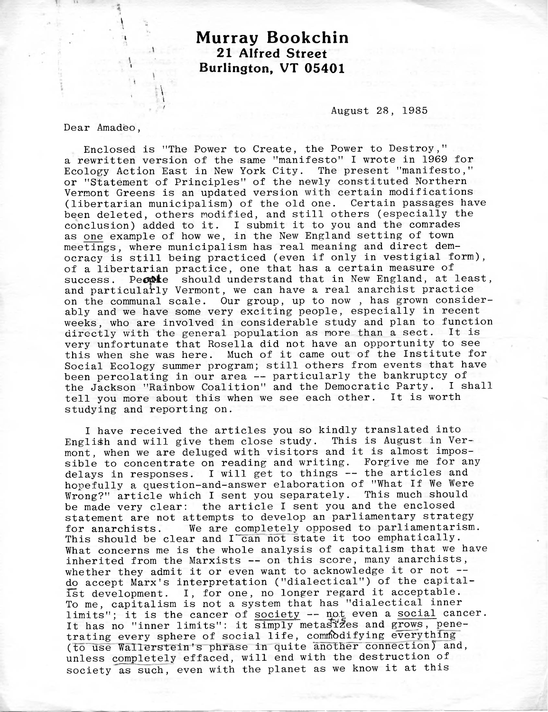## **Murray Bookchin 21 Alfred Street Burlington, VT 05401**

August 28, 1985

Dear Amadeo,

\ . i

Enclosed is "The Power to Create, the Power to Destroy," a rewritten version of the same "manifesto" <sup>I</sup> wrote in 1969 for Ecology Action East in New York City. The present "manifesto," or "Statement of Principles" of the newly constituted Northern Vermont Greens is an updated version with certain modifications (libertarian municipalism) of the old one. Certain passages have been deleted, others modified, and still others (especially the conclusion) added to it. <sup>I</sup> submit it to you and the comrades as one example of how we, in the New England setting of town meetings, where municipalism has real meaning and direct democracy is still being practiced (even if only in vestigial form), of a libertarian practice, one that has a certain measure of success. People should understand that in New England, at least, and particularly Vermont, we can have a real anarchist practice on the communal scale. Our group, up to now , has grown considerably and we have some very exciting people, especially in recent weeks, who are involved in considerable study and plan to function directly with the general population as more than a sect. It is very unfortunate that Rosella did not have an opportunity to see this when she was here. Much of it came out of the Institute for Social Ecology summer program; still others from events that have been percolating in our area — particularly the bankruptcy of the Jackson "Rainbow Coalition" and the Democratic Party. <sup>I</sup> shall tell you more about this when we see each other. It is worth studying and reporting on.

<sup>I</sup> have received the articles you so kindly translated into English and will give them close study. This is August in Vermont, when we are deluged with visitors and it is almost impossible to concentrate on reading and writing. Forgive me for any delays in responses. <sup>I</sup> will get to things -- the articles and hopefully a question-and-answer elaboration of "What If We Were Wrong?" article which <sup>I</sup> sent you separately. This much should be made very clear: the article <sup>I</sup> sent you and the enclosed statement are not attempts to develop an parliamentary strategy for anarchists. We are completely opposed to parliamentarism. This should be clear and I can not state it too emphatically. What concerns me is the whole analysis of capitalism that we have inherited from the Marxists — on this score, many anarchists, whether they admit it or even want to acknowledge it or not -do accept Marx's interpretation ("dialectical") of the capitalist development. I, for one, no longer regard it acceptable. To me, capitalism is not a system that has "dialectical inner limits"; it is the cancer of society -- not even a social cancer. It has no "inner limits": it simply metastizes and grows, penetrating every sphere of social life, commodifying everything (to use Wallerstein's phrase in quite another connection) and, unless completely effaced, will end with the destruction of society as such, even with the planet as we know it at this